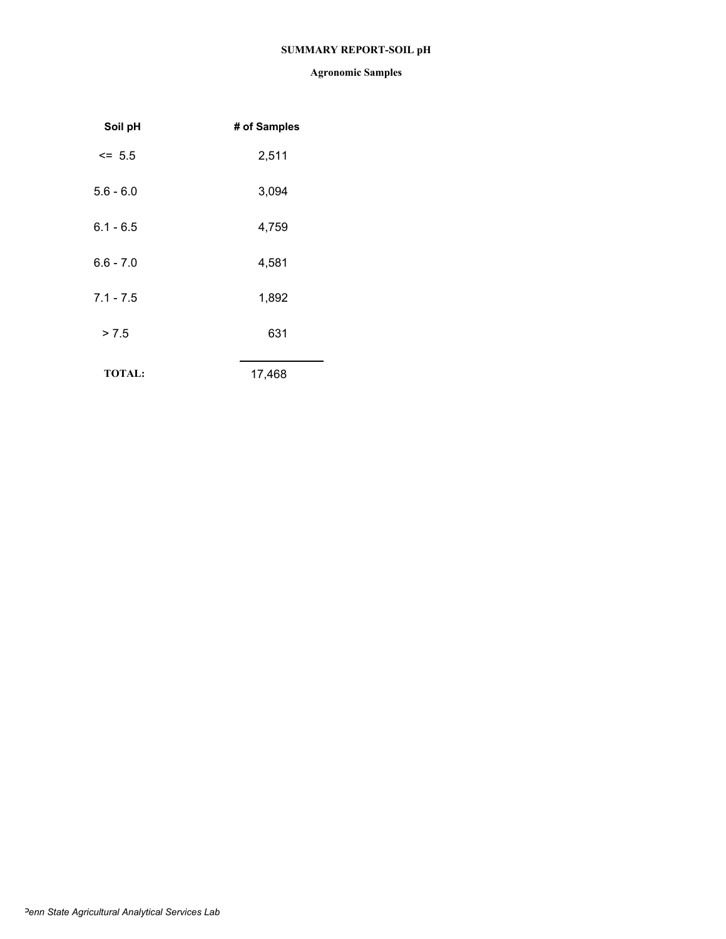# **SUMMARY REPORT-SOIL pH**

| Soil pH       | # of Samples |
|---------------|--------------|
| $\leq$ 5.5    | 2,511        |
| $5.6 - 6.0$   | 3,094        |
| $6.1 - 6.5$   | 4,759        |
| $6.6 - 7.0$   | 4,581        |
| $7.1 - 7.5$   | 1,892        |
| > 7.5         | 631          |
| <b>TOTAL:</b> | 17,468       |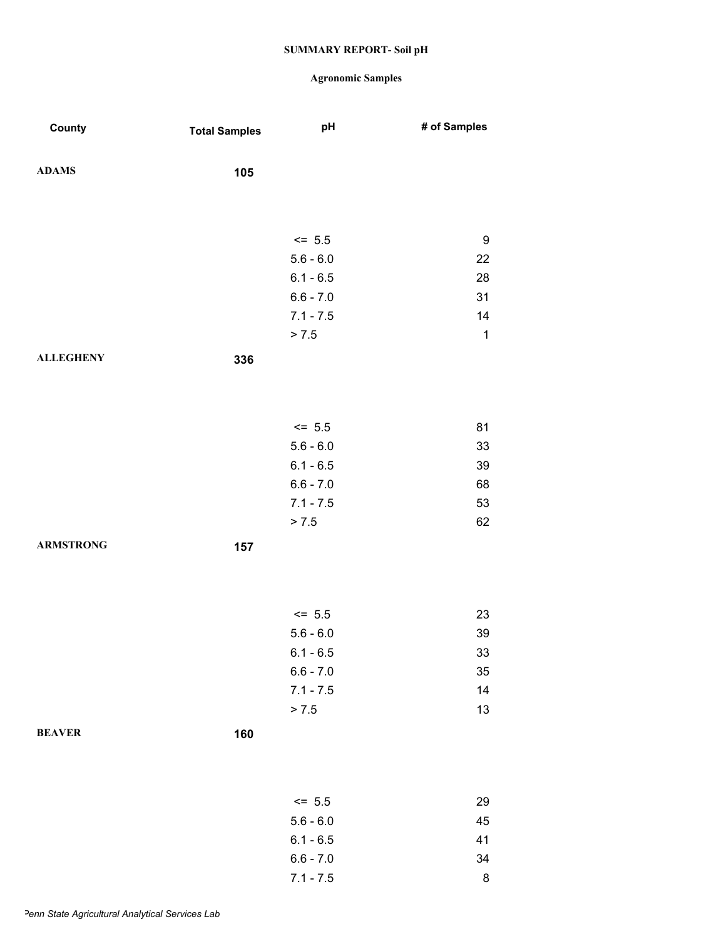| County           | <b>Total Samples</b> | pH          | # of Samples |
|------------------|----------------------|-------------|--------------|
| <b>ADAMS</b>     | 105                  |             |              |
|                  |                      |             |              |
|                  |                      |             |              |
|                  |                      | $\le$ 5.5   | 9            |
|                  |                      | $5.6 - 6.0$ | 22           |
|                  |                      | $6.1 - 6.5$ | 28           |
|                  |                      | $6.6 - 7.0$ | 31           |
|                  |                      | $7.1 - 7.5$ | 14           |
|                  |                      | > 7.5       | $\mathbf 1$  |
| <b>ALLEGHENY</b> | 336                  |             |              |
|                  |                      |             |              |
|                  |                      |             |              |
|                  |                      | $\le$ 5.5   | 81           |
|                  |                      | $5.6 - 6.0$ | 33           |
|                  |                      | $6.1 - 6.5$ | 39           |
|                  |                      | $6.6 - 7.0$ | 68           |
|                  |                      | $7.1 - 7.5$ | 53           |
|                  |                      | > 7.5       | 62           |
| <b>ARMSTRONG</b> | 157                  |             |              |
|                  |                      |             |              |
|                  |                      |             |              |
|                  |                      | $\le$ 5.5   | 23           |
|                  |                      | $5.6 - 6.0$ | 39           |
|                  |                      | $6.1 - 6.5$ | 33           |
|                  |                      | $6.6 - 7.0$ | 35           |
|                  |                      | $7.1 - 7.5$ | 14           |
|                  |                      | > 7.5       | 13           |
| <b>BEAVER</b>    | 160                  |             |              |
|                  |                      |             |              |
|                  |                      |             |              |
|                  |                      | $\le$ 5.5   | 29           |
|                  |                      | $5.6 - 6.0$ | 45           |
|                  |                      | $6.1 - 6.5$ | 41           |
|                  |                      | $6.6 - 7.0$ | 34           |
|                  |                      | $7.1 - 7.5$ | 8            |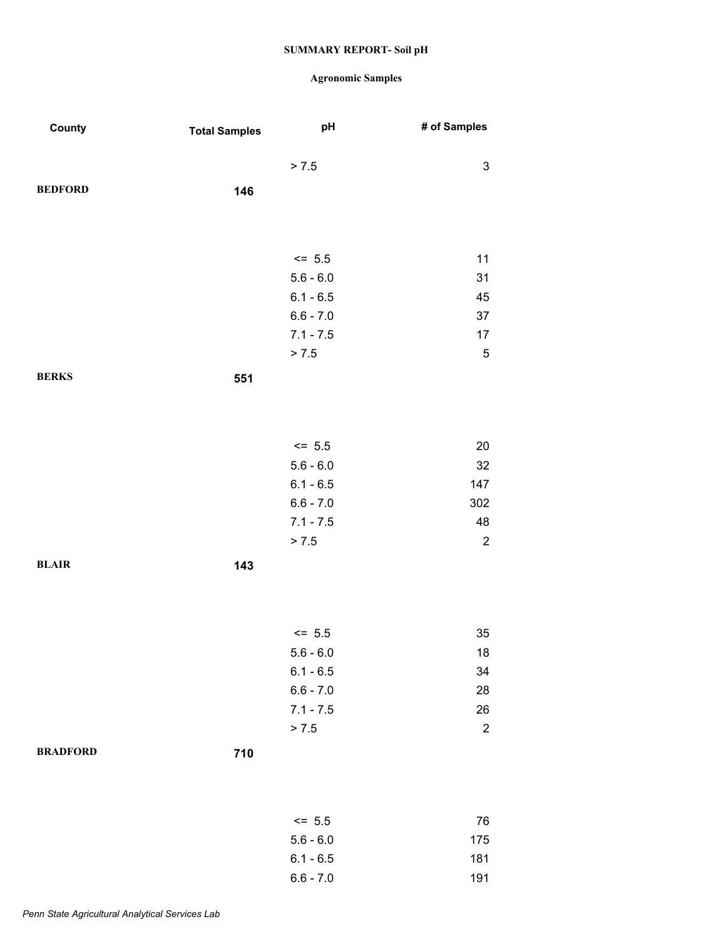| County          | <b>Total Samples</b> | pH          | # of Samples              |
|-----------------|----------------------|-------------|---------------------------|
|                 |                      |             |                           |
|                 |                      | > 7.5       | $\ensuremath{\mathsf{3}}$ |
| <b>BEDFORD</b>  | 146                  |             |                           |
|                 |                      |             |                           |
|                 |                      |             |                           |
|                 |                      | $\le$ 5.5   | 11                        |
|                 |                      | $5.6 - 6.0$ | 31                        |
|                 |                      | $6.1 - 6.5$ | 45                        |
|                 |                      | $6.6 - 7.0$ | 37                        |
|                 |                      | $7.1 - 7.5$ | 17                        |
|                 |                      | > 7.5       | $\mathbf 5$               |
| <b>BERKS</b>    | 551                  |             |                           |
|                 |                      |             |                           |
|                 |                      |             |                           |
|                 |                      |             |                           |
|                 |                      | $\le$ 5.5   | $20\,$                    |
|                 |                      | $5.6 - 6.0$ | 32                        |
|                 |                      | $6.1 - 6.5$ | 147                       |
|                 |                      | $6.6 - 7.0$ | 302                       |
|                 |                      | $7.1 - 7.5$ | 48                        |
|                 |                      | > 7.5       | $\sqrt{2}$                |
| <b>BLAIR</b>    | 143                  |             |                           |
|                 |                      |             |                           |
|                 |                      |             |                           |
|                 |                      | $\le$ 5.5   | 35                        |
|                 |                      | $5.6 - 6.0$ | 18                        |
|                 |                      | $6.1 - 6.5$ | 34                        |
|                 |                      | $6.6 - 7.0$ | 28                        |
|                 |                      | $7.1 - 7.5$ | 26                        |
|                 |                      | > 7.5       | $\sqrt{2}$                |
| <b>BRADFORD</b> | 710                  |             |                           |
|                 |                      |             |                           |
|                 |                      |             |                           |
|                 |                      | $\le$ 5.5   | 76                        |
|                 |                      | $5.6 - 6.0$ | 175                       |
|                 |                      | $6.1 - 6.5$ | 181                       |
|                 |                      | $6.6 - 7.0$ | 191                       |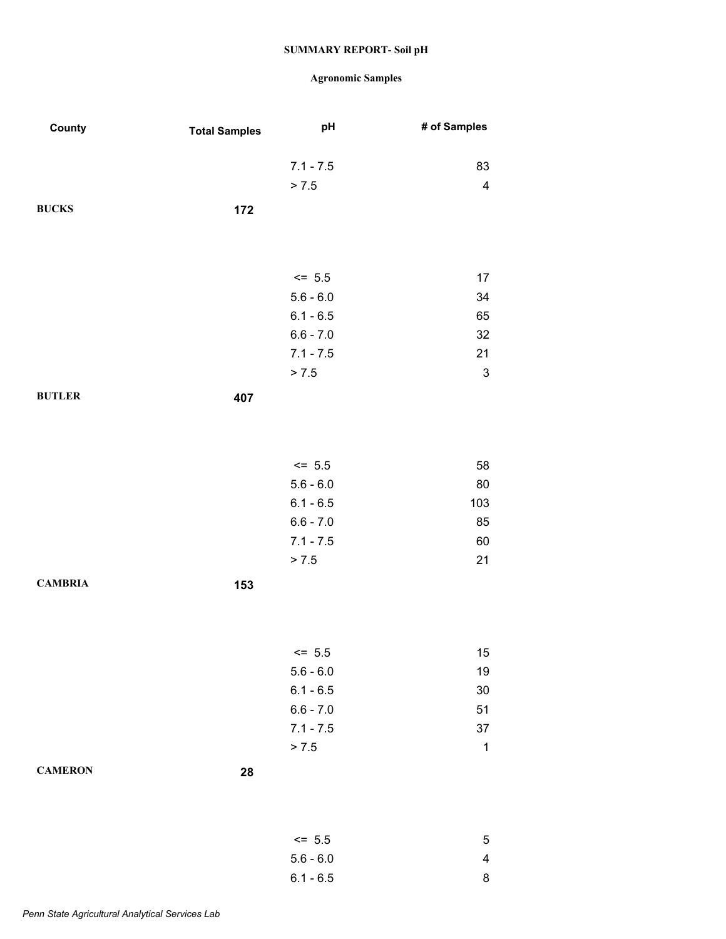| County         | <b>Total Samples</b> | pH          | # of Samples             |
|----------------|----------------------|-------------|--------------------------|
|                |                      | $7.1 - 7.5$ | 83                       |
|                |                      | > 7.5       | $\overline{4}$           |
| <b>BUCKS</b>   | 172                  |             |                          |
|                |                      |             |                          |
|                |                      | $\le$ 5.5   | 17                       |
|                |                      | $5.6 - 6.0$ | 34                       |
|                |                      | $6.1 - 6.5$ | 65                       |
|                |                      | $6.6 - 7.0$ | 32                       |
|                |                      | $7.1 - 7.5$ | 21                       |
|                |                      | > 7.5       | $\mathbf{3}$             |
| <b>BUTLER</b>  | 407                  |             |                          |
|                |                      |             |                          |
|                |                      | $\le$ 5.5   | 58                       |
|                |                      | $5.6 - 6.0$ | 80                       |
|                |                      | $6.1 - 6.5$ | 103                      |
|                |                      | $6.6 - 7.0$ | 85                       |
|                |                      | $7.1 - 7.5$ | 60                       |
|                |                      | > 7.5       | 21                       |
| <b>CAMBRIA</b> | 153                  |             |                          |
|                |                      |             |                          |
|                |                      | $\le$ 5.5   | 15                       |
|                |                      | $5.6 - 6.0$ | 19                       |
|                |                      | $6.1 - 6.5$ | 30                       |
|                |                      | $6.6 - 7.0$ | 51                       |
|                |                      | $7.1 - 7.5$ | 37                       |
|                |                      | > 7.5       | $\mathbf 1$              |
| <b>CAMERON</b> | 28                   |             |                          |
|                |                      |             |                          |
|                |                      | $\le$ 5.5   | 5                        |
|                |                      | $5.6 - 6.0$ | $\overline{\mathcal{A}}$ |
|                |                      | $6.1 - 6.5$ | 8                        |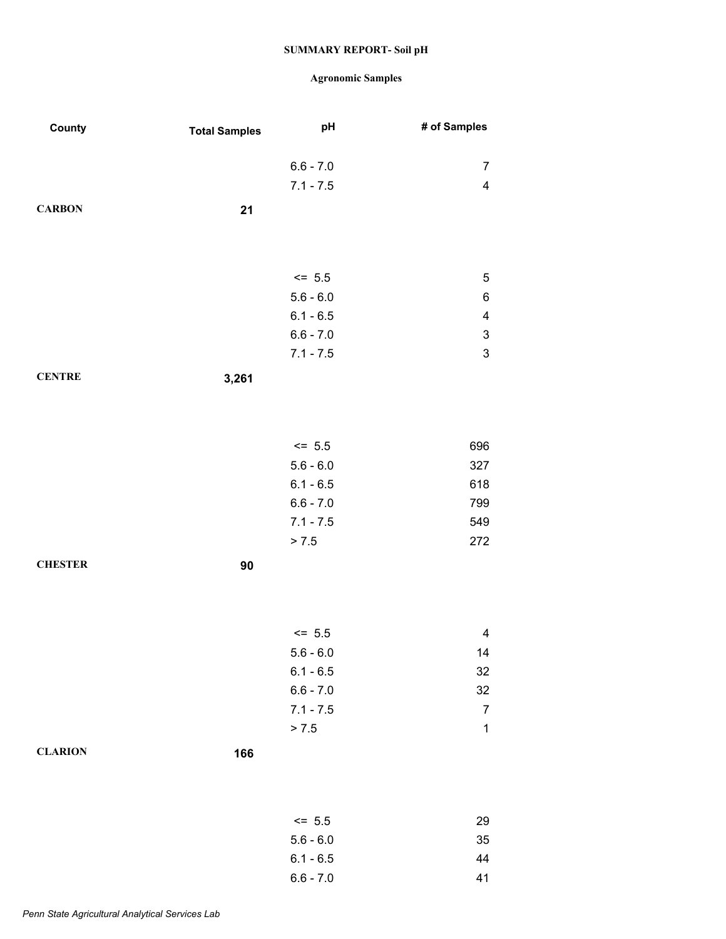| County         | <b>Total Samples</b> | pH          | # of Samples              |
|----------------|----------------------|-------------|---------------------------|
|                |                      | $6.6 - 7.0$ | $\overline{7}$            |
|                |                      | $7.1 - 7.5$ | $\overline{\mathbf{4}}$   |
| <b>CARBON</b>  | 21                   |             |                           |
|                |                      |             |                           |
|                |                      | $\leq$ 5.5  | 5                         |
|                |                      | $5.6 - 6.0$ | $\,6\,$                   |
|                |                      | $6.1 - 6.5$ | $\overline{\mathbf{4}}$   |
|                |                      | $6.6 - 7.0$ | $\ensuremath{\mathsf{3}}$ |
|                |                      | $7.1 - 7.5$ | $\mathfrak{S}$            |
| <b>CENTRE</b>  | 3,261                |             |                           |
|                |                      |             |                           |
|                |                      | $\le$ 5.5   | 696                       |
|                |                      | $5.6 - 6.0$ | 327                       |
|                |                      | $6.1 - 6.5$ | 618                       |
|                |                      | $6.6 - 7.0$ | 799                       |
|                |                      | $7.1 - 7.5$ | 549                       |
|                |                      | > 7.5       | 272                       |
| <b>CHESTER</b> | $90\,$               |             |                           |
|                |                      |             |                           |
|                |                      | $\leq$ 5.5  | $\overline{\mathbf{4}}$   |
|                |                      | $5.6 - 6.0$ | 14                        |
|                |                      | $6.1 - 6.5$ | 32                        |
|                |                      | $6.6 - 7.0$ | 32                        |
|                |                      | $7.1 - 7.5$ | $\overline{7}$            |
|                |                      | > 7.5       | $\mathbf 1$               |
| <b>CLARION</b> | 166                  |             |                           |
|                |                      |             |                           |
|                |                      | $\le$ 5.5   | 29                        |
|                |                      | $5.6 - 6.0$ | 35                        |
|                |                      | $6.1 - 6.5$ | 44                        |
|                |                      | $6.6 - 7.0$ | 41                        |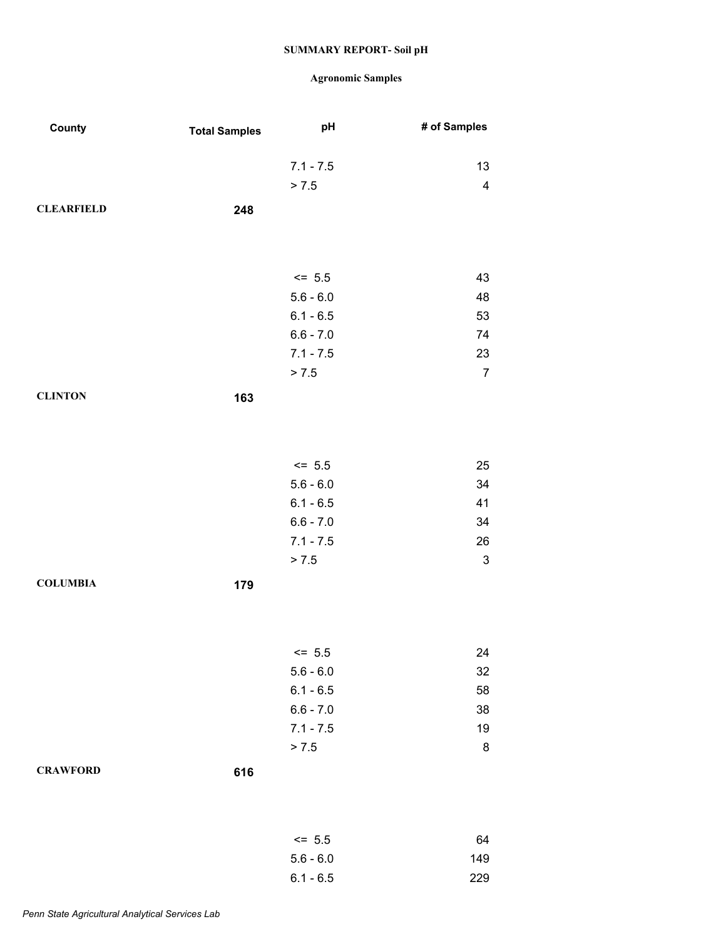| County            | <b>Total Samples</b> | pH          | # of Samples   |
|-------------------|----------------------|-------------|----------------|
|                   |                      | $7.1 - 7.5$ | 13             |
|                   |                      | > 7.5       | $\overline{4}$ |
| <b>CLEARFIELD</b> | 248                  |             |                |
|                   |                      |             |                |
|                   |                      | $\le$ 5.5   | 43             |
|                   |                      | $5.6 - 6.0$ | 48             |
|                   |                      | $6.1 - 6.5$ | 53             |
|                   |                      | $6.6 - 7.0$ | 74             |
|                   |                      | $7.1 - 7.5$ | 23             |
|                   |                      | > 7.5       | $\overline{7}$ |
| <b>CLINTON</b>    | 163                  |             |                |
|                   |                      |             |                |
|                   |                      | $\le$ 5.5   | 25             |
|                   |                      | $5.6 - 6.0$ | 34             |
|                   |                      | $6.1 - 6.5$ | 41             |
|                   |                      | $6.6 - 7.0$ | 34             |
|                   |                      | $7.1 - 7.5$ | 26             |
|                   |                      | > 7.5       | $\mathbf{3}$   |
| <b>COLUMBIA</b>   | 179                  |             |                |
|                   |                      |             |                |
|                   |                      | $\le$ 5.5   | 24             |
|                   |                      | $5.6 - 6.0$ | 32             |
|                   |                      | $6.1 - 6.5$ | 58             |
|                   |                      | $6.6 - 7.0$ | 38             |
|                   |                      | $7.1 - 7.5$ | 19             |
|                   |                      | > 7.5       | 8              |
| <b>CRAWFORD</b>   | 616                  |             |                |
|                   |                      |             |                |
|                   |                      | $\le$ 5.5   | 64             |
|                   |                      | $5.6 - 6.0$ | 149            |
|                   |                      | $6.1 - 6.5$ | 229            |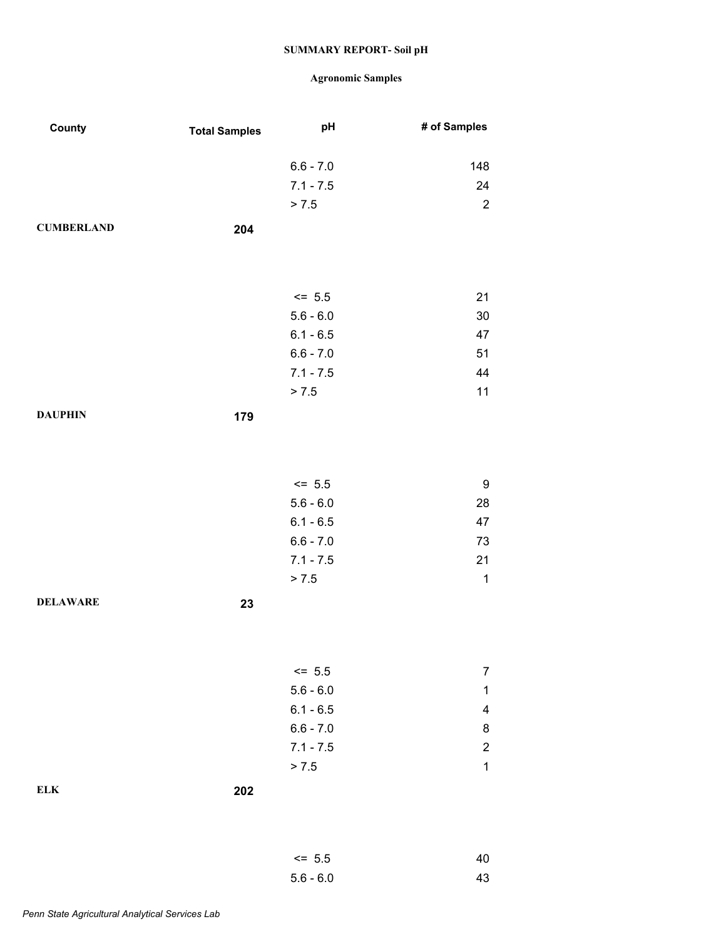| County            | <b>Total Samples</b> | pH          | # of Samples            |
|-------------------|----------------------|-------------|-------------------------|
|                   |                      | $6.6 - 7.0$ | 148                     |
|                   |                      | $7.1 - 7.5$ | 24                      |
|                   |                      | > 7.5       | $\sqrt{2}$              |
| <b>CUMBERLAND</b> | 204                  |             |                         |
|                   |                      |             |                         |
|                   |                      |             |                         |
|                   |                      | $\le$ 5.5   | 21                      |
|                   |                      | $5.6 - 6.0$ | $30\,$                  |
|                   |                      | $6.1 - 6.5$ | 47                      |
|                   |                      | $6.6 - 7.0$ | 51                      |
|                   |                      | $7.1 - 7.5$ | 44                      |
|                   |                      | > 7.5       | 11                      |
| <b>DAUPHIN</b>    | 179                  |             |                         |
|                   |                      |             |                         |
|                   |                      | $\le$ 5.5   | 9                       |
|                   |                      | $5.6 - 6.0$ | 28                      |
|                   |                      | $6.1 - 6.5$ | 47                      |
|                   |                      | $6.6 - 7.0$ | 73                      |
|                   |                      | $7.1 - 7.5$ | 21                      |
|                   |                      | > 7.5       | $\mathbf{1}$            |
| <b>DELAWARE</b>   | 23                   |             |                         |
|                   |                      |             |                         |
|                   |                      | $\le$ 5.5   | $\overline{7}$          |
|                   |                      | $5.6 - 6.0$ | $\mathbf 1$             |
|                   |                      | $6.1 - 6.5$ | $\overline{\mathbf{4}}$ |
|                   |                      | $6.6 - 7.0$ | 8                       |
|                   |                      | $7.1 - 7.5$ | $\boldsymbol{2}$        |
|                   |                      | > 7.5       | $\mathbf{1}$            |
| $\mathbf{ELK}$    | 202                  |             |                         |
|                   |                      |             |                         |
|                   |                      | $\le$ 5.5   | 40                      |
|                   |                      | $5.6 - 6.0$ | 43                      |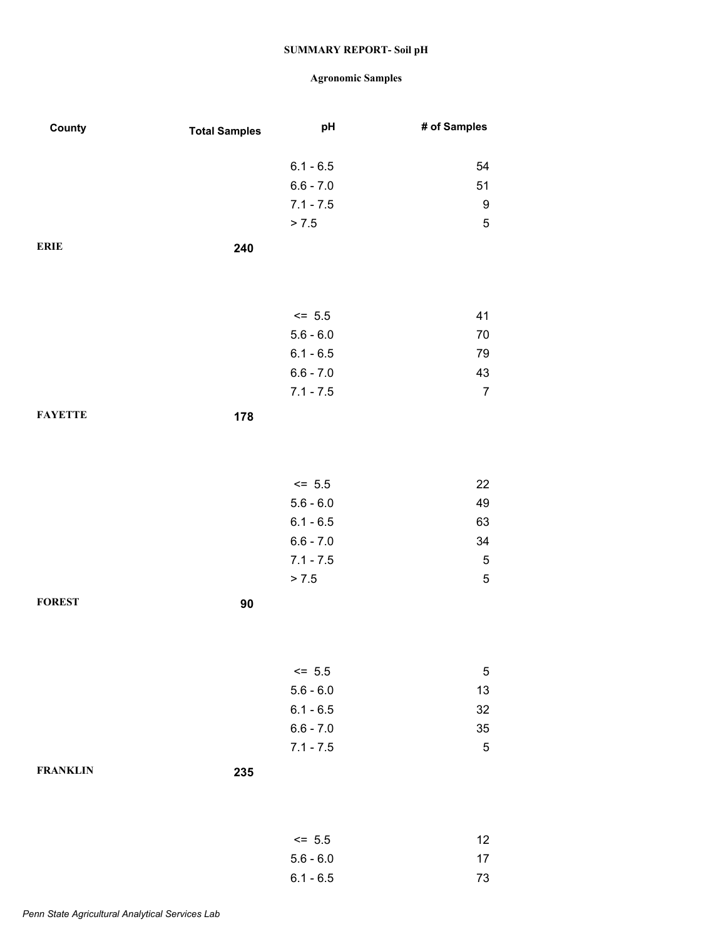| County          | <b>Total Samples</b> | pH                         | # of Samples     |
|-----------------|----------------------|----------------------------|------------------|
|                 |                      | $6.1 - 6.5$                | 54               |
|                 |                      | $6.6 - 7.0$                | 51               |
|                 |                      | $7.1 - 7.5$                | $\boldsymbol{9}$ |
|                 |                      | > 7.5                      | $\mathbf 5$      |
| <b>ERIE</b>     | 240                  |                            |                  |
|                 |                      |                            |                  |
|                 |                      | $\le$ 5.5                  | 41               |
|                 |                      | $5.6 - 6.0$<br>$6.1 - 6.5$ | $70\,$           |
|                 |                      | $6.6 - 7.0$                | 79<br>43         |
|                 |                      | $7.1 - 7.5$                | $\overline{7}$   |
| <b>FAYETTE</b>  | 178                  |                            |                  |
|                 |                      |                            |                  |
|                 |                      | $\le$ 5.5                  | 22               |
|                 |                      | $5.6 - 6.0$                | 49               |
|                 |                      | $6.1 - 6.5$                | 63               |
|                 |                      | $6.6 - 7.0$                | 34               |
|                 |                      | $7.1 - 7.5$                | $\mathbf 5$      |
|                 |                      | > 7.5                      | $\mathbf 5$      |
| <b>FOREST</b>   | 90                   |                            |                  |
|                 |                      |                            |                  |
|                 |                      | $\le$ 5.5                  | $\mathbf 5$      |
|                 |                      | $5.6 - 6.0$                | 13               |
|                 |                      | $6.1 - 6.5$                | $32\,$           |
|                 |                      | $6.6 - 7.0$                | $35\,$           |
|                 |                      | $7.1 - 7.5$                | $\,$ 5 $\,$      |
| <b>FRANKLIN</b> | 235                  |                            |                  |
|                 |                      | $\le$ 5.5                  | 12               |
|                 |                      | $5.6 - 6.0$                | 17               |
|                 |                      | $6.1 - 6.5$                | $73\,$           |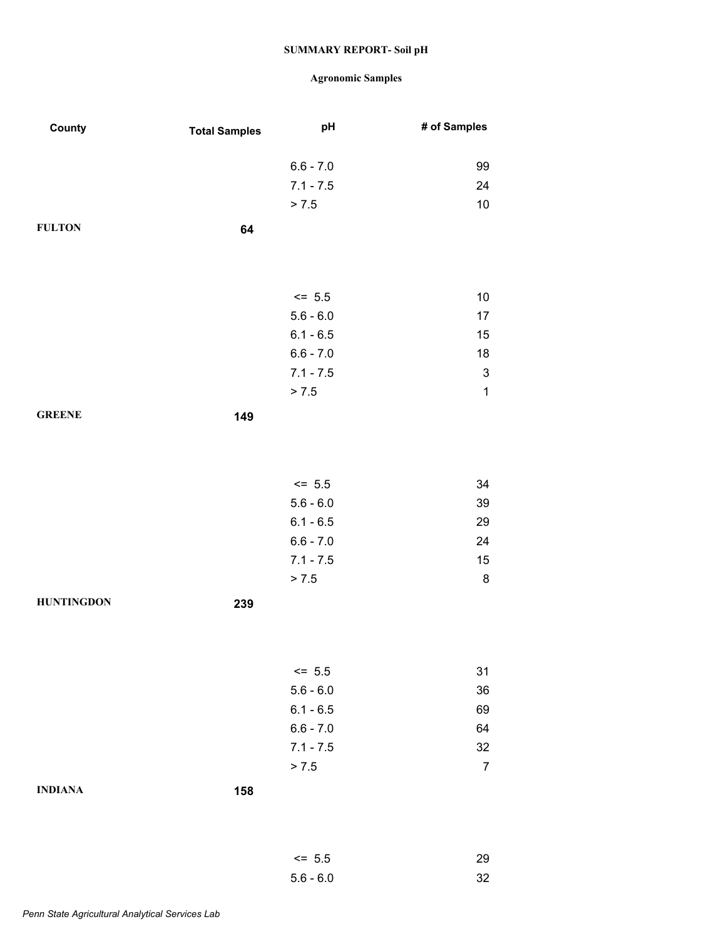| County            | <b>Total Samples</b> | pH                       | # of Samples              |
|-------------------|----------------------|--------------------------|---------------------------|
|                   |                      | $6.6 - 7.0$              | 99                        |
|                   |                      | $7.1 - 7.5$              | 24                        |
|                   |                      | > 7.5                    | $10$                      |
| <b>FULTON</b>     |                      |                          |                           |
|                   | 64                   |                          |                           |
|                   |                      |                          |                           |
|                   |                      |                          |                           |
|                   |                      | $\leq$ 5.5               | $10$                      |
|                   |                      | $5.6 - 6.0$              | 17                        |
|                   |                      | $6.1 - 6.5$              | 15                        |
|                   |                      | $6.6 - 7.0$              | 18                        |
|                   |                      | $7.1 - 7.5$              | $\ensuremath{\mathsf{3}}$ |
|                   |                      | > 7.5                    | $\mathbf{1}$              |
| <b>GREENE</b>     | 149                  |                          |                           |
|                   |                      |                          |                           |
|                   |                      |                          |                           |
|                   |                      | $\le$ 5.5                | 34                        |
|                   |                      | $5.6 - 6.0$              | 39                        |
|                   |                      | $6.1 - 6.5$              | 29                        |
|                   |                      | $6.6 - 7.0$              | 24                        |
|                   |                      | $7.1 - 7.5$              | 15                        |
|                   |                      | > 7.5                    | $\bf 8$                   |
| <b>HUNTINGDON</b> | 239                  |                          |                           |
|                   |                      |                          |                           |
|                   |                      |                          |                           |
|                   |                      | $\le$ 5.5                | 31                        |
|                   |                      | $5.6 - 6.0$              | 36                        |
|                   |                      | $6.1 - 6.5$              | 69                        |
|                   |                      | $6.6 - 7.0$              | 64                        |
|                   |                      | $7.1 - 7.5$              | 32                        |
|                   |                      | > 7.5                    | $\boldsymbol{7}$          |
| <b>INDIANA</b>    | 158                  |                          |                           |
|                   |                      |                          |                           |
|                   |                      |                          |                           |
|                   |                      |                          |                           |
|                   |                      | $\le$ 5.5<br>$5.6 - 6.0$ | 29<br>32                  |
|                   |                      |                          |                           |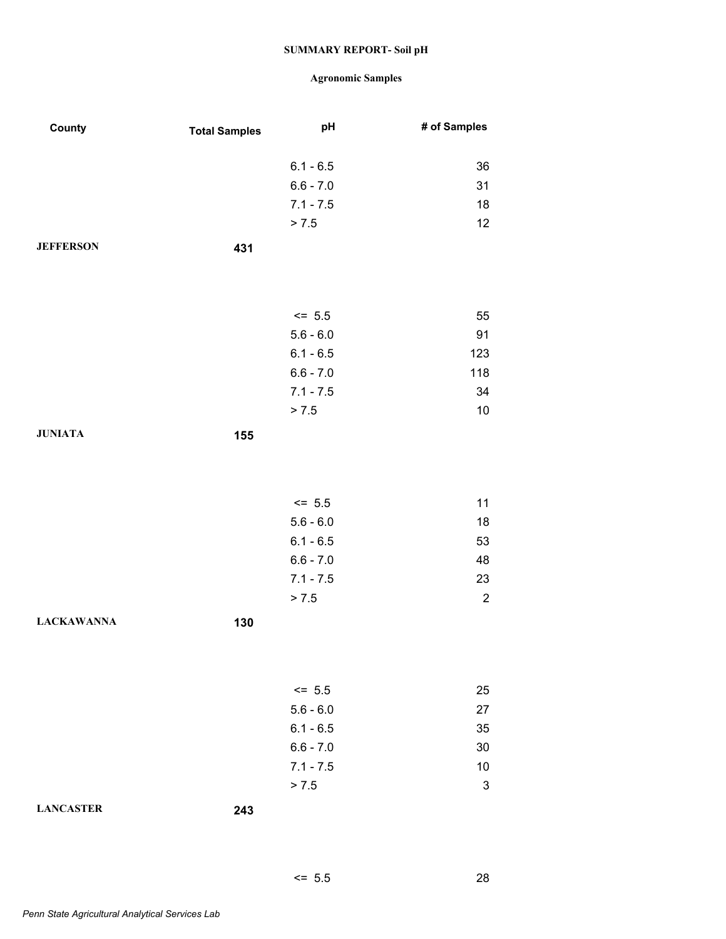| County            | <b>Total Samples</b> | pH          | # of Samples              |
|-------------------|----------------------|-------------|---------------------------|
|                   |                      | $6.1 - 6.5$ | 36                        |
|                   |                      | $6.6 - 7.0$ | 31                        |
|                   |                      | $7.1 - 7.5$ | 18                        |
|                   |                      | > 7.5       | 12                        |
|                   |                      |             |                           |
| <b>JEFFERSON</b>  | 431                  |             |                           |
|                   |                      |             |                           |
|                   |                      | $\le$ 5.5   | 55                        |
|                   |                      | $5.6 - 6.0$ | 91                        |
|                   |                      | $6.1 - 6.5$ | 123                       |
|                   |                      | $6.6 - 7.0$ | 118                       |
|                   |                      | $7.1 - 7.5$ | 34                        |
|                   |                      | > 7.5       | $10$                      |
| <b>JUNIATA</b>    | 155                  |             |                           |
|                   |                      |             |                           |
|                   |                      | $\le$ 5.5   | 11                        |
|                   |                      | $5.6 - 6.0$ | 18                        |
|                   |                      | $6.1 - 6.5$ | 53                        |
|                   |                      | $6.6 - 7.0$ | 48                        |
|                   |                      | $7.1 - 7.5$ | 23                        |
|                   |                      | > 7.5       | $\sqrt{2}$                |
| <b>LACKAWANNA</b> | 130                  |             |                           |
|                   |                      |             |                           |
|                   |                      | $\le$ 5.5   | 25                        |
|                   |                      | $5.6 - 6.0$ | 27                        |
|                   |                      | $6.1 - 6.5$ | 35                        |
|                   |                      | $6.6 - 7.0$ | $30\,$                    |
|                   |                      | $7.1 - 7.5$ | $10$                      |
|                   |                      | > 7.5       | $\ensuremath{\mathsf{3}}$ |
| <b>LANCASTER</b>  | 243                  |             |                           |
|                   |                      |             |                           |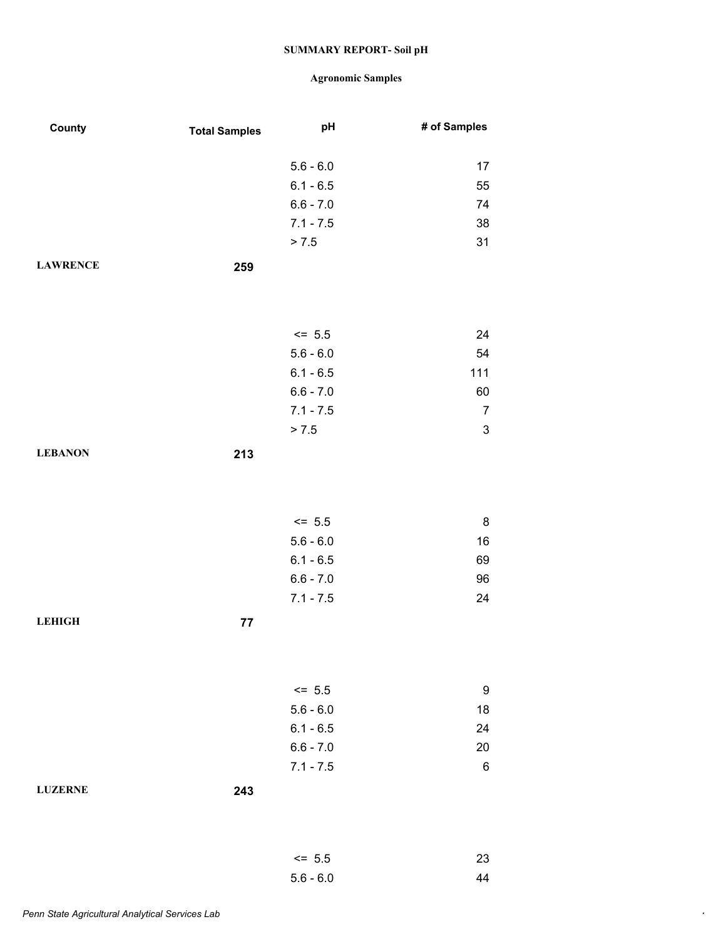| County          | <b>Total Samples</b> | pH                         | # of Samples     |
|-----------------|----------------------|----------------------------|------------------|
|                 |                      |                            |                  |
|                 |                      | $5.6 - 6.0$                | 17               |
|                 |                      | $6.1 - 6.5$                | 55               |
|                 |                      | $6.6 - 7.0$                | 74               |
|                 |                      | $7.1 - 7.5$                | 38               |
|                 |                      | > 7.5                      | 31               |
| <b>LAWRENCE</b> | 259                  |                            |                  |
|                 |                      |                            |                  |
|                 |                      |                            |                  |
|                 |                      | $\le$ 5.5                  | 24               |
|                 |                      | $5.6 - 6.0$                | 54               |
|                 |                      | $6.1 - 6.5$                | 111              |
|                 |                      | $6.6 - 7.0$                | 60               |
|                 |                      | $7.1 - 7.5$                | $\overline{7}$   |
|                 |                      | > 7.5                      | $\sqrt{3}$       |
| <b>LEBANON</b>  | 213                  |                            |                  |
|                 |                      |                            |                  |
|                 |                      |                            |                  |
|                 |                      |                            |                  |
|                 |                      | $\le$ 5.5                  | $\bf 8$          |
|                 |                      | $5.6 - 6.0$                | 16               |
|                 |                      | $6.1 - 6.5$                | 69               |
|                 |                      | $6.6 - 7.0$<br>$7.1 - 7.5$ | 96               |
|                 |                      |                            | 24               |
| <b>LEHIGH</b>   | ${\bf 77}$           |                            |                  |
|                 |                      |                            |                  |
|                 |                      |                            |                  |
|                 |                      | $\le$ 5.5                  | $\boldsymbol{9}$ |
|                 |                      | $5.6 - 6.0$                | 18               |
|                 |                      | $6.1 - 6.5$                | 24               |
|                 |                      | $6.6 - 7.0$                | 20               |
|                 |                      | $7.1 - 7.5$                | $\,6$            |
| <b>LUZERNE</b>  | 243                  |                            |                  |
|                 |                      |                            |                  |
|                 |                      |                            |                  |
|                 |                      |                            |                  |
|                 |                      | $\le$ 5.5                  | 23               |
|                 |                      | $5.6 - 6.0$                | 44               |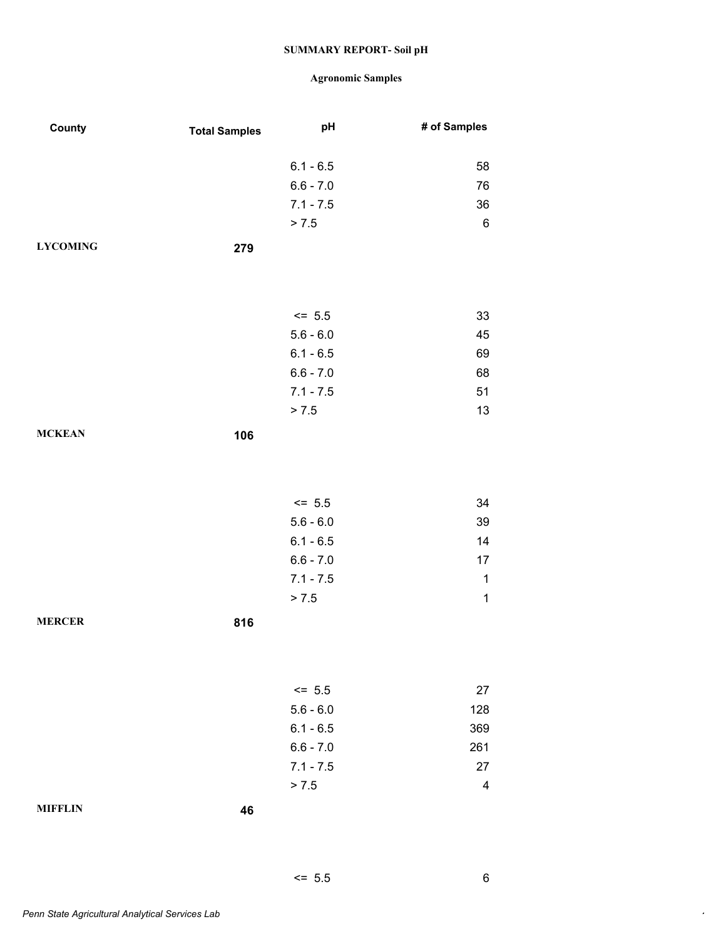| County          | <b>Total Samples</b> | pH          | # of Samples            |
|-----------------|----------------------|-------------|-------------------------|
|                 |                      |             |                         |
|                 |                      | $6.1 - 6.5$ | 58                      |
|                 |                      | $6.6 - 7.0$ | 76                      |
|                 |                      | $7.1 - 7.5$ | 36                      |
|                 |                      | > 7.5       | $\,6\,$                 |
| <b>LYCOMING</b> | 279                  |             |                         |
|                 |                      |             |                         |
|                 |                      | $\le$ 5.5   | 33                      |
|                 |                      | $5.6 - 6.0$ | 45                      |
|                 |                      | $6.1 - 6.5$ | 69                      |
|                 |                      | $6.6 - 7.0$ | 68                      |
|                 |                      | $7.1 - 7.5$ | 51                      |
|                 |                      | > 7.5       | 13                      |
| <b>MCKEAN</b>   | 106                  |             |                         |
|                 |                      |             |                         |
|                 |                      |             |                         |
|                 |                      | $\le$ 5.5   | 34                      |
|                 |                      | $5.6 - 6.0$ | 39                      |
|                 |                      | $6.1 - 6.5$ | 14                      |
|                 |                      | $6.6 - 7.0$ | $17\,$                  |
|                 |                      | $7.1 - 7.5$ | $\mathbf{1}$            |
|                 |                      | > 7.5       | $\mathbf{1}$            |
| <b>MERCER</b>   | 816                  |             |                         |
|                 |                      |             |                         |
|                 |                      | $\le$ 5.5   | 27                      |
|                 |                      | $5.6 - 6.0$ | 128                     |
|                 |                      | $6.1 - 6.5$ | 369                     |
|                 |                      | $6.6 - 7.0$ | 261                     |
|                 |                      | $7.1 - 7.5$ | 27                      |
|                 |                      | > 7.5       | $\overline{\mathbf{4}}$ |
| <b>MIFFLIN</b>  | 46                   |             |                         |
|                 |                      |             |                         |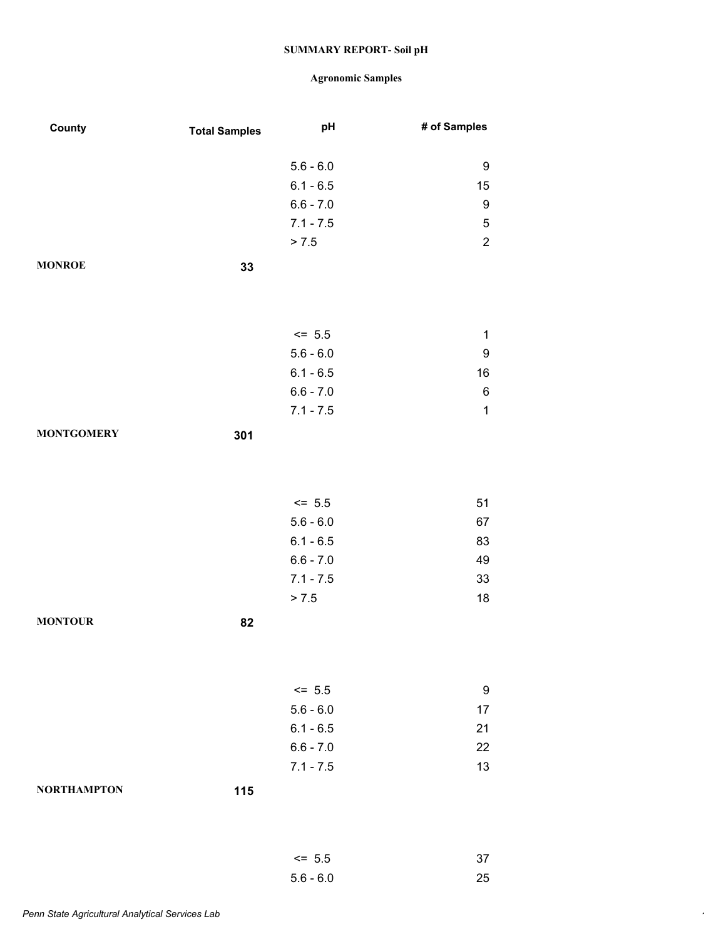| County             | <b>Total Samples</b> | pH          | # of Samples     |
|--------------------|----------------------|-------------|------------------|
|                    |                      | $5.6 - 6.0$ | 9                |
|                    |                      | $6.1 - 6.5$ | 15               |
|                    |                      | $6.6 - 7.0$ | $\boldsymbol{9}$ |
|                    |                      | $7.1 - 7.5$ | $\,$ 5 $\,$      |
|                    |                      | > 7.5       | $\overline{c}$   |
| <b>MONROE</b>      | 33                   |             |                  |
|                    |                      |             |                  |
|                    |                      | $\le$ 5.5   | $\mathbf 1$      |
|                    |                      | $5.6 - 6.0$ | $\boldsymbol{9}$ |
|                    |                      | $6.1 - 6.5$ | 16               |
|                    |                      | $6.6 - 7.0$ | $\,6\,$          |
|                    |                      | $7.1 - 7.5$ | $\mathbf{1}$     |
| <b>MONTGOMERY</b>  | 301                  |             |                  |
|                    |                      |             |                  |
|                    |                      | $\le$ 5.5   | 51               |
|                    |                      | $5.6 - 6.0$ | 67               |
|                    |                      | $6.1 - 6.5$ | 83               |
|                    |                      | $6.6 - 7.0$ | 49               |
|                    |                      | $7.1 - 7.5$ | 33               |
|                    |                      | > 7.5       | 18               |
| <b>MONTOUR</b>     | 82                   |             |                  |
|                    |                      |             |                  |
|                    |                      | $<= 5.5$    | $\boldsymbol{9}$ |
|                    |                      | $5.6 - 6.0$ | 17               |
|                    |                      | $6.1 - 6.5$ | 21               |
|                    |                      | $6.6 - 7.0$ | 22               |
|                    |                      | $7.1 - 7.5$ | 13               |
| <b>NORTHAMPTON</b> | 115                  |             |                  |
|                    |                      |             |                  |
|                    |                      | $\le$ 5.5   | 37               |
|                    |                      | $5.6 - 6.0$ | 25               |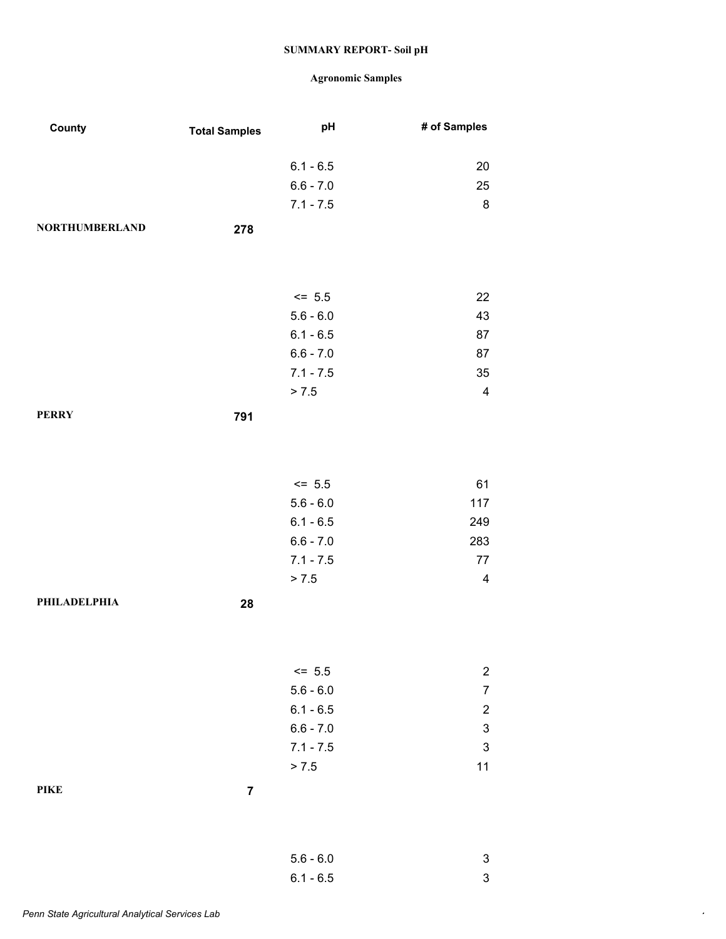| County                | <b>Total Samples</b> | pH          | # of Samples              |
|-----------------------|----------------------|-------------|---------------------------|
|                       |                      | $6.1 - 6.5$ | 20                        |
|                       |                      | $6.6 - 7.0$ | 25                        |
|                       |                      | $7.1 - 7.5$ | $\bf 8$                   |
| <b>NORTHUMBERLAND</b> | 278                  |             |                           |
|                       |                      |             |                           |
|                       |                      | $\le$ 5.5   | 22                        |
|                       |                      | $5.6 - 6.0$ | 43                        |
|                       |                      | $6.1 - 6.5$ | 87                        |
|                       |                      | $6.6 - 7.0$ | 87                        |
|                       |                      | $7.1 - 7.5$ | 35                        |
|                       |                      | > 7.5       | $\overline{\mathbf{4}}$   |
| <b>PERRY</b>          | 791                  |             |                           |
|                       |                      |             |                           |
|                       |                      | $\le$ 5.5   | 61                        |
|                       |                      | $5.6 - 6.0$ | 117                       |
|                       |                      | $6.1 - 6.5$ | 249                       |
|                       |                      | $6.6 - 7.0$ | 283                       |
|                       |                      | $7.1 - 7.5$ | 77                        |
|                       |                      | > 7.5       | $\overline{\mathbf{4}}$   |
| <b>PHILADELPHIA</b>   | 28                   |             |                           |
|                       |                      |             |                           |
|                       |                      | $\le$ 5.5   | $\overline{\mathbf{c}}$   |
|                       |                      | $5.6 - 6.0$ | $\overline{7}$            |
|                       |                      | $6.1 - 6.5$ | $\overline{\mathbf{c}}$   |
|                       |                      | $6.6 - 7.0$ | 3                         |
|                       |                      | $7.1 - 7.5$ | $\ensuremath{\mathsf{3}}$ |
|                       |                      | > 7.5       | 11                        |
| <b>PIKE</b>           | 7                    |             |                           |
|                       |                      | $5.6 - 6.0$ | $\ensuremath{\mathsf{3}}$ |
|                       |                      | $6.1 - 6.5$ | $\ensuremath{\mathsf{3}}$ |
|                       |                      |             |                           |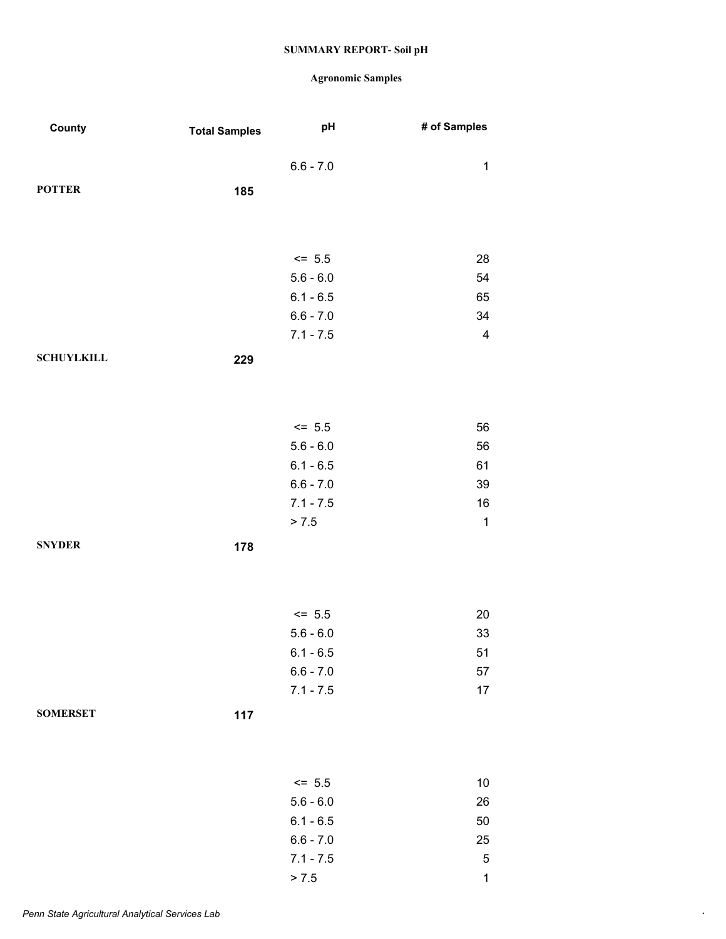| County            | <b>Total Samples</b> | pH          | # of Samples            |
|-------------------|----------------------|-------------|-------------------------|
|                   |                      | $6.6 - 7.0$ | $\mathbf{1}$            |
| <b>POTTER</b>     | 185                  |             |                         |
|                   |                      |             |                         |
|                   |                      |             |                         |
|                   |                      | $\leq$ 5.5  | 28                      |
|                   |                      | $5.6 - 6.0$ | 54                      |
|                   |                      | $6.1 - 6.5$ | 65                      |
|                   |                      | $6.6 - 7.0$ | 34                      |
|                   |                      | $7.1 - 7.5$ | $\overline{\mathbf{4}}$ |
| <b>SCHUYLKILL</b> | 229                  |             |                         |
|                   |                      |             |                         |
|                   |                      |             |                         |
|                   |                      | $\le$ 5.5   | 56                      |
|                   |                      | $5.6 - 6.0$ | 56                      |
|                   |                      | $6.1 - 6.5$ | 61                      |
|                   |                      | $6.6 - 7.0$ | 39                      |
|                   |                      | $7.1 - 7.5$ | 16                      |
|                   |                      | > 7.5       | $\mathbf{1}$            |
| <b>SNYDER</b>     | 178                  |             |                         |
|                   |                      |             |                         |
|                   |                      |             |                         |
|                   |                      | $\le$ 5.5   | 20                      |
|                   |                      | $5.6 - 6.0$ | 33                      |
|                   |                      | $6.1 - 6.5$ | 51                      |
|                   |                      | $6.6 - 7.0$ | 57                      |
|                   |                      | $7.1 - 7.5$ | 17                      |
| <b>SOMERSET</b>   | 117                  |             |                         |
|                   |                      |             |                         |
|                   |                      | $\le$ 5.5   | $10$                    |
|                   |                      | $5.6 - 6.0$ | 26                      |
|                   |                      | $6.1 - 6.5$ | 50                      |
|                   |                      | $6.6 - 7.0$ | 25                      |
|                   |                      | $7.1 - 7.5$ | $\mathbf 5$             |
|                   |                      | > 7.5       | $\mathbf{1}$            |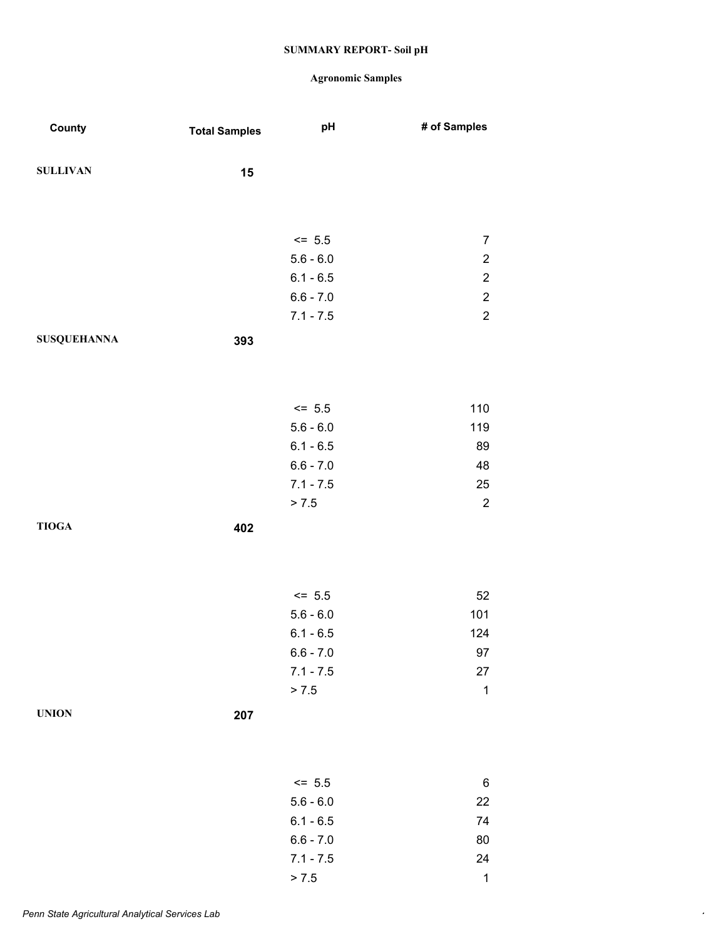| County             | <b>Total Samples</b> | pH                         | # of Samples     |
|--------------------|----------------------|----------------------------|------------------|
|                    |                      |                            |                  |
| <b>SULLIVAN</b>    | 15                   |                            |                  |
|                    |                      |                            |                  |
|                    |                      |                            |                  |
|                    |                      | $\le$ 5.5                  | $\overline{7}$   |
|                    |                      | $5.6 - 6.0$                | $\overline{c}$   |
|                    |                      | $6.1 - 6.5$                | $\overline{c}$   |
|                    |                      | $6.6 - 7.0$                | $\boldsymbol{2}$ |
|                    |                      | $7.1 - 7.5$                | $\overline{c}$   |
| <b>SUSQUEHANNA</b> | 393                  |                            |                  |
|                    |                      |                            |                  |
|                    |                      |                            |                  |
|                    |                      | $\le$ 5.5                  | 110              |
|                    |                      | $5.6 - 6.0$                | 119              |
|                    |                      | $6.1 - 6.5$                | 89               |
|                    |                      | $6.6 - 7.0$                | 48               |
|                    |                      | $7.1 - 7.5$                | 25               |
|                    |                      | > 7.5                      | $\overline{2}$   |
| <b>TIOGA</b>       | 402                  |                            |                  |
|                    |                      |                            |                  |
|                    |                      |                            |                  |
|                    |                      |                            |                  |
|                    |                      | $\le$ 5.5                  | 52               |
|                    |                      | $5.6 - 6.0$                | 101              |
|                    |                      | $6.1 - 6.5$<br>$6.6 - 7.0$ | 124              |
|                    |                      | $7.1 - 7.5$                | 97<br>27         |
|                    |                      | > 7.5                      | $\mathbf{1}$     |
| <b>UNION</b>       |                      |                            |                  |
|                    | 207                  |                            |                  |
|                    |                      |                            |                  |
|                    |                      |                            |                  |
|                    |                      | $\le$ 5.5                  | 6                |
|                    |                      | $5.6 - 6.0$                | 22               |
|                    |                      | $6.1 - 6.5$                | 74               |
|                    |                      | $6.6 - 7.0$                | 80               |
|                    |                      | $7.1 - 7.5$                | 24               |
|                    |                      | > 7.5                      | $\mathbf 1$      |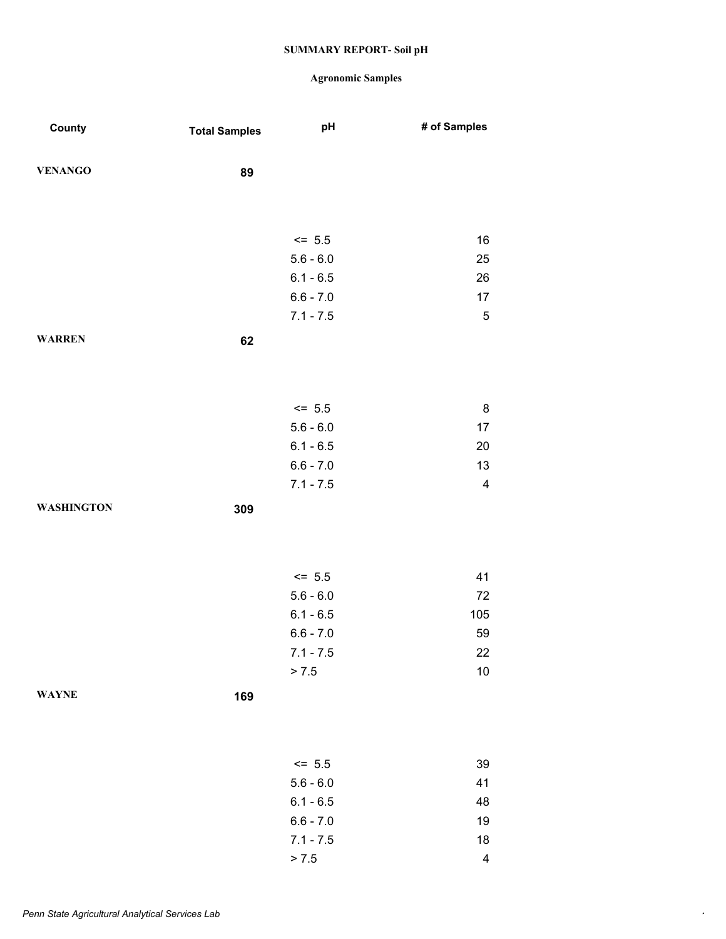| <b>VENANGO</b><br>89<br>$<= 5.5$<br>16<br>$5.6 - 6.0$<br>25<br>$6.1 - 6.5$<br>26<br>$6.6 - 7.0$<br>17<br>$7.1 - 7.5$<br>$\mathbf 5$<br><b>WARREN</b><br>62<br>$\le$ 5.5<br>8<br>$5.6 - 6.0$<br>17<br>$6.1 - 6.5$<br>20<br>$6.6 - 7.0$<br>13<br>$7.1 - 7.5$<br>4<br><b>WASHINGTON</b><br>309<br>$\le$ 5.5<br>41<br>$5.6 - 6.0$<br>72<br>$6.1 - 6.5$<br>105<br>$6.6 - 7.0$<br>59<br>$7.1 - 7.5$<br>22<br>> 7.5<br>$10$<br><b>WAYNE</b><br>169<br>$\le$ 5.5<br>39<br>$5.6 - 6.0$<br>41<br>$6.1 - 6.5$<br>48<br>$6.6 - 7.0$<br>19<br>$7.1 - 7.5$<br>$18$ | County | <b>Total Samples</b> | pH    | # of Samples             |
|------------------------------------------------------------------------------------------------------------------------------------------------------------------------------------------------------------------------------------------------------------------------------------------------------------------------------------------------------------------------------------------------------------------------------------------------------------------------------------------------------------------------------------------------------|--------|----------------------|-------|--------------------------|
|                                                                                                                                                                                                                                                                                                                                                                                                                                                                                                                                                      |        |                      |       |                          |
|                                                                                                                                                                                                                                                                                                                                                                                                                                                                                                                                                      |        |                      |       |                          |
|                                                                                                                                                                                                                                                                                                                                                                                                                                                                                                                                                      |        |                      |       |                          |
|                                                                                                                                                                                                                                                                                                                                                                                                                                                                                                                                                      |        |                      |       |                          |
|                                                                                                                                                                                                                                                                                                                                                                                                                                                                                                                                                      |        |                      |       |                          |
|                                                                                                                                                                                                                                                                                                                                                                                                                                                                                                                                                      |        |                      |       |                          |
|                                                                                                                                                                                                                                                                                                                                                                                                                                                                                                                                                      |        |                      |       |                          |
|                                                                                                                                                                                                                                                                                                                                                                                                                                                                                                                                                      |        |                      |       |                          |
|                                                                                                                                                                                                                                                                                                                                                                                                                                                                                                                                                      |        |                      |       |                          |
|                                                                                                                                                                                                                                                                                                                                                                                                                                                                                                                                                      |        |                      |       |                          |
|                                                                                                                                                                                                                                                                                                                                                                                                                                                                                                                                                      |        |                      |       |                          |
|                                                                                                                                                                                                                                                                                                                                                                                                                                                                                                                                                      |        |                      |       |                          |
|                                                                                                                                                                                                                                                                                                                                                                                                                                                                                                                                                      |        |                      |       |                          |
|                                                                                                                                                                                                                                                                                                                                                                                                                                                                                                                                                      |        |                      |       |                          |
|                                                                                                                                                                                                                                                                                                                                                                                                                                                                                                                                                      |        |                      |       |                          |
|                                                                                                                                                                                                                                                                                                                                                                                                                                                                                                                                                      |        |                      |       |                          |
|                                                                                                                                                                                                                                                                                                                                                                                                                                                                                                                                                      |        |                      |       |                          |
|                                                                                                                                                                                                                                                                                                                                                                                                                                                                                                                                                      |        |                      |       |                          |
|                                                                                                                                                                                                                                                                                                                                                                                                                                                                                                                                                      |        |                      |       |                          |
|                                                                                                                                                                                                                                                                                                                                                                                                                                                                                                                                                      |        |                      |       |                          |
|                                                                                                                                                                                                                                                                                                                                                                                                                                                                                                                                                      |        |                      |       |                          |
|                                                                                                                                                                                                                                                                                                                                                                                                                                                                                                                                                      |        |                      |       |                          |
|                                                                                                                                                                                                                                                                                                                                                                                                                                                                                                                                                      |        |                      |       |                          |
|                                                                                                                                                                                                                                                                                                                                                                                                                                                                                                                                                      |        |                      |       |                          |
|                                                                                                                                                                                                                                                                                                                                                                                                                                                                                                                                                      |        |                      |       |                          |
|                                                                                                                                                                                                                                                                                                                                                                                                                                                                                                                                                      |        |                      |       |                          |
|                                                                                                                                                                                                                                                                                                                                                                                                                                                                                                                                                      |        |                      |       |                          |
|                                                                                                                                                                                                                                                                                                                                                                                                                                                                                                                                                      |        |                      |       |                          |
|                                                                                                                                                                                                                                                                                                                                                                                                                                                                                                                                                      |        |                      |       |                          |
|                                                                                                                                                                                                                                                                                                                                                                                                                                                                                                                                                      |        |                      |       |                          |
|                                                                                                                                                                                                                                                                                                                                                                                                                                                                                                                                                      |        |                      |       |                          |
|                                                                                                                                                                                                                                                                                                                                                                                                                                                                                                                                                      |        |                      |       |                          |
|                                                                                                                                                                                                                                                                                                                                                                                                                                                                                                                                                      |        |                      |       |                          |
|                                                                                                                                                                                                                                                                                                                                                                                                                                                                                                                                                      |        |                      |       |                          |
|                                                                                                                                                                                                                                                                                                                                                                                                                                                                                                                                                      |        |                      | > 7.5 | $\overline{\mathcal{A}}$ |